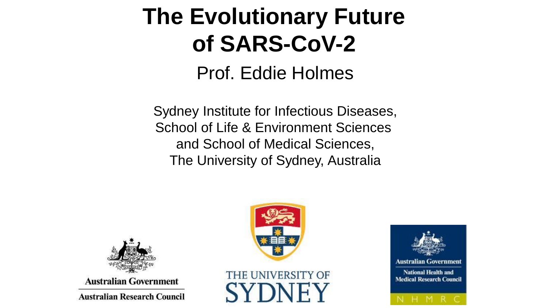# **The Evolutionary Future of SARS-CoV-2**

Prof. Eddie Holmes

Sydney Institute for Infectious Diseases, School of Life & Environment Sciences and School of Medical Sciences, The University of Sydney, Australia







**Australian Government** 

**Australian Research Council**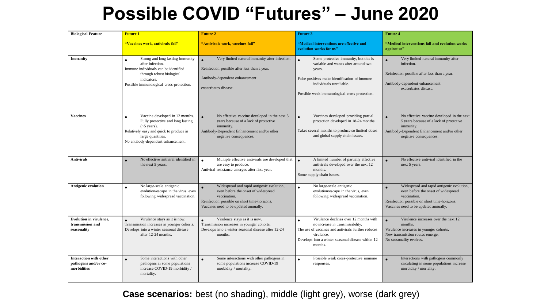### **Possible COVID "Futures" – June 2020**

| <b>Biological Feature</b>                                            | <b>Future 1</b>                                                                                                                                                                                               | <b>Future 2</b>                                                                                                                                                                           | <b>Future 3</b>                                                                                                                                                                                                                  | <b>Future 4</b>                                                                                                                                                                           |
|----------------------------------------------------------------------|---------------------------------------------------------------------------------------------------------------------------------------------------------------------------------------------------------------|-------------------------------------------------------------------------------------------------------------------------------------------------------------------------------------------|----------------------------------------------------------------------------------------------------------------------------------------------------------------------------------------------------------------------------------|-------------------------------------------------------------------------------------------------------------------------------------------------------------------------------------------|
|                                                                      | "Vaccines work, antivirals fail"                                                                                                                                                                              | "Antivirals work, vaccines fail"                                                                                                                                                          | "Medical interventions are effective and<br>evolution works for us"                                                                                                                                                              | "Medical interventions fail and evolution works<br>against us"                                                                                                                            |
| Immunity                                                             | Strong and long-lasting immunity<br>$\bullet$<br>after infection.<br>Immune individuals can be identified<br>through robust biological<br>indicators.<br>Possible immunological cross-protection.             | Very limited natural immunity after infection.<br>Reinfection possible after less than a year.<br>Antibody-dependent enhancement<br>exacerbates disease.                                  | Some protective immunity, but this is<br>$\bullet$<br>variable and wanes after around two<br>years.<br>False positives make identification of immune<br>individuals unreliable.<br>Possible weak immunological cross-protection. | Very limited natural immunity after<br>infection.<br>Reinfection possible after less than a year.<br>Antibody-dependent enhancement<br>exacerbates disease.                               |
| <b>Vaccines</b>                                                      | Vaccine developed in 12 months.<br>$\bullet$<br>Fully protective and long lasting<br>$({\sim}5$ years).<br>Relatively easy and quick to produce in<br>large quantities.<br>No antibody-dependent enhancement. | No effective vaccine developed in the next 5<br>years because of a lack of protective<br>immunity.<br>Antibody-Dependent Enhancement and/or other<br>negative consequences.               | Vaccines developed providing partial<br>$\bullet$<br>protection developed in 18-24 months.<br>Takes several months to produce so limited doses<br>and global supply chain issues.                                                | No effective vaccine developed in the next<br>5 years because of a lack of protective<br>immunity.<br>Antibody-Dependent Enhancement and/or other<br>negative consequences.               |
| <b>Antivirals</b>                                                    | No effective antiviral identified in<br>$\bullet$<br>the next 5 years.                                                                                                                                        | Multiple effective antivirals are developed that<br>are easy to produce.<br>Antiviral resistance emerges after first year.                                                                | A limited number of partially effective<br>$\bullet$<br>antivirals developed over the next 12<br>months.<br>Some supply chain issues.                                                                                            | No effective antiviral identified in the<br>next 5 years.                                                                                                                                 |
| <b>Antigenic evolution</b>                                           | No large-scale antigenic<br>$\bullet$<br>evolution/escape in the virus, even<br>following widespread vaccination.                                                                                             | Widespread and rapid antigenic evolution,<br>even before the onset of widespread<br>vaccination.<br>Reinfection possible on short time-horizons.<br>Vaccines need to be updated annually. | No large-scale antigenic<br>$\bullet$<br>evolution/escape in the virus, even<br>following widespread vaccination.                                                                                                                | Widespread and rapid antigenic evolution,<br>even before the onset of widespread<br>vaccination.<br>Reinfection possible on short time-horizons.<br>Vaccines need to be updated annually. |
| Evolution in virulence,<br>transmission and<br>seasonality           | Virulence stays as it is now.<br>Transmission increases in younger cohorts.<br>Develops into a winter seasonal disease<br>after 12-24 months.                                                                 | Virulence stays as it is now.<br>$\bullet$<br>Transmission increases in younger cohorts.<br>Develops into a winter seasonal disease after 12-24<br>months.                                | Virulence declines over 12 months with<br>$\bullet$<br>no increase in transmissibility.<br>The use of vaccines and antivirals further reduces<br>virulence.<br>Develops into a winter seasonal disease within 12<br>months.      | Virulence increases over the next 12<br>months.<br>Virulence increases in younger cohorts.<br>New transmission routes emerge.<br>No seasonality evolves.                                  |
| <b>Interaction with other</b><br>pathogens and/or co-<br>morbidities | Some interactions with other<br>pathogens in some populations<br>increase COVID-19 morbidity /<br>mortality.                                                                                                  | Some interactions with other pathogens in<br>some populations increase COVID-19<br>morbidity / mortality.                                                                                 | Possible weak cross-protective immune<br>$\bullet$<br>responses.                                                                                                                                                                 | Interactions with pathogens commonly<br>circulating in some populations increase<br>morbidity / mortality.                                                                                |

**Case scenarios:** best (no shading), middle (light grey), worse (dark grey)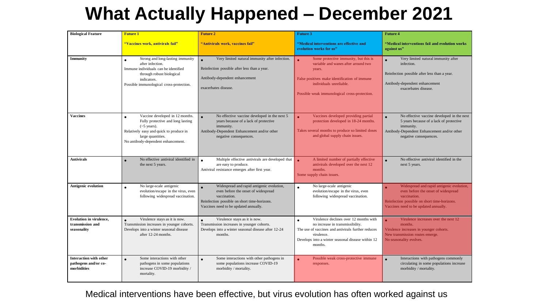### **What Actually Happened – December 2021**

| <b>Biological Feature</b>                                            | <b>Future 1</b>                                                                                                                                                                                               | <b>Future 2</b>                                                                                                                                                                                        | <b>Future 3</b>                                                                                                                                                                                                             | <b>Future 4</b>                                                                                                                                                                           |
|----------------------------------------------------------------------|---------------------------------------------------------------------------------------------------------------------------------------------------------------------------------------------------------------|--------------------------------------------------------------------------------------------------------------------------------------------------------------------------------------------------------|-----------------------------------------------------------------------------------------------------------------------------------------------------------------------------------------------------------------------------|-------------------------------------------------------------------------------------------------------------------------------------------------------------------------------------------|
|                                                                      | <u> "Vaccines work, antivirals fail"</u>                                                                                                                                                                      | "Antivirals work, vaccines fail"                                                                                                                                                                       | "Medical interventions are effective and<br>evolution works for us"                                                                                                                                                         | "Medical interventions fail and evolution works<br>against us"                                                                                                                            |
| Immunity                                                             | Strong and long-lasting immunity<br>$\bullet$<br>after infection.<br>Immune individuals can be identified<br>through robust biological<br>indicators.<br>Possible immunological cross-protection.             | Very limited natural immunity after infection.<br>Reinfection possible after less than a year.<br>Antibody-dependent enhancement<br>exacerbates disease.                                               | Some protective immunity, but this is<br>variable and wanes after around two<br>years.<br>False positives make identification of immune<br>individuals unreliable.<br>Possible weak immunological cross-protection.         | Very limited natural immunity after<br>$\bullet$<br>infection.<br>Reinfection possible after less than a year.<br>Antibody-dependent enhancement<br>exacerbates disease.                  |
| <b>Vaccines</b>                                                      | Vaccine developed in 12 months.<br>$\bullet$<br>Fully protective and long lasting<br>$({\sim}5$ years).<br>Relatively easy and quick to produce in<br>large quantities.<br>No antibody-dependent enhancement. | No effective vaccine developed in the next 5<br>years because of a lack of protective<br>immunity.<br>Antibody-Dependent Enhancement and/or other<br>negative consequences.                            | Vaccines developed providing partial<br>$\bullet$<br>protection developed in 18-24 months.<br>Takes several months to produce so limited doses<br>and global supply chain issues.                                           | No effective vaccine developed in the next<br>5 years because of a lack of protective<br>immunity.<br>Antibody-Dependent Enhancement and/or other<br>negative consequences.               |
| <b>Antivirals</b>                                                    | No effective antiviral identified in<br>$\bullet$<br>the next 5 years.                                                                                                                                        | Multiple effective antivirals are developed that<br>are easy to produce.<br>Antiviral resistance emerges after first year.                                                                             | A limited number of partially effective<br>antivirals developed over the next 12<br>months.<br>Some supply chain issues.                                                                                                    | No effective antiviral identified in the<br>$\bullet$<br>next 5 years.                                                                                                                    |
| <b>Antigenic evolution</b>                                           | No large-scale antigenic<br>$\bullet$<br>evolution/escape in the virus, even<br>following widespread vaccination.                                                                                             | Widespread and rapid antigenic evolution,<br>$\bullet$<br>even before the onset of widespread<br>vaccination.<br>Reinfection possible on short time-horizons.<br>Vaccines need to be updated annually. | No large-scale antigenic<br>$\bullet$<br>evolution/escape in the virus, even<br>following widespread vaccination.                                                                                                           | Widespread and rapid antigenic evolution,<br>even before the onset of widespread<br>vaccination.<br>Reinfection possible on short time-horizons.<br>Vaccines need to be updated annually. |
| <b>Evolution in virulence,</b><br>transmission and<br>seasonality    | Virulence stays as it is now.<br>Transmission increases in younger cohorts.<br>Develops into a winter seasonal disease<br>after 12-24 months.                                                                 | Virulence stays as it is now.<br>$\bullet$<br>Transmission increases in younger cohorts.<br>Develops into a winter seasonal disease after 12-24<br>months.                                             | Virulence declines over 12 months with<br>$\bullet$<br>no increase in transmissibility.<br>The use of vaccines and antivirals further reduces<br>virulence.<br>Develops into a winter seasonal disease within 12<br>months. | Virulence increases over the next 12<br>months.<br>Virulence increases in younger cohorts.<br>New transmission routes emerge.<br>No seasonality evolves.                                  |
| <b>Interaction with other</b><br>pathogens and/or co-<br>morbidities | Some interactions with other<br>pathogens in some populations<br>increase COVID-19 morbidity /<br>mortality.                                                                                                  | Some interactions with other pathogens in<br>some populations increase COVID-19<br>morbidity / mortality.                                                                                              | Possible weak cross-protective immune<br>responses.                                                                                                                                                                         | Interactions with pathogens commonly<br>circulating in some populations increase<br>morbidity / mortality.                                                                                |

Medical interventions have been effective, but virus evolution has often worked against us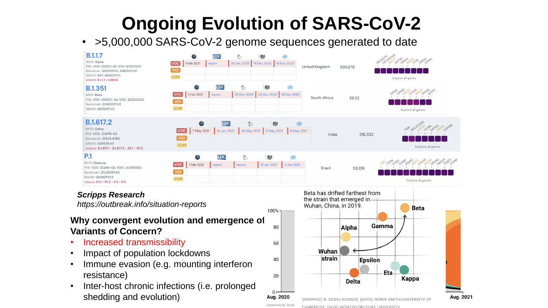# **Ongoing Evolution of SARS-CoV-2**

#### • >5,000,000 SARS-CoV-2 genome sequences generated to date



40

20

 $0 -$ Aug. 2020

(GRAPHIC) N. DESA

- Immune evasion (e.g. mounting interferon resistance)
- Inter-host chronic infections (i.e. prolonged shedding and evolution)



Epsilon

**Delta** 

Eta-

Kappa

Aug. 2021

strain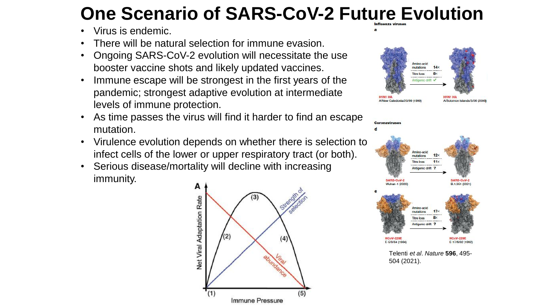## **One Scenario of SARS-CoV-2 Future Evolution**

- Virus is endemic.
- There will be natural selection for immune evasion.
- Ongoing SARS-CoV-2 evolution will necessitate the use booster vaccine shots and likely updated vaccines.
- Immune escape will be strongest in the first years of the pandemic; strongest adaptive evolution at intermediate levels of immune protection.
- As time passes the virus will find it harder to find an escape mutation.
- Virulence evolution depends on whether there is selection to infect cells of the lower or upper respiratory tract (or both).
- Serious disease/mortality will decline with increasing immunity.





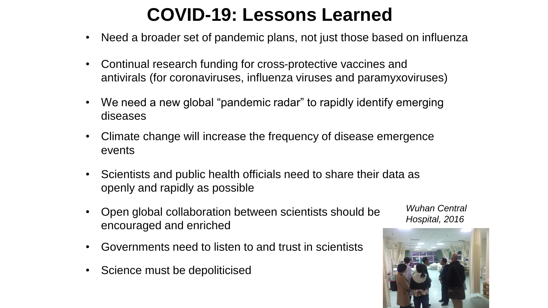### **COVID-19: Lessons Learned**

- Need a broader set of pandemic plans, not just those based on influenza
- Continual research funding for cross-protective vaccines and antivirals (for coronaviruses, influenza viruses and paramyxoviruses)
- We need a new global "pandemic radar" to rapidly identify emerging diseases
- Climate change will increase the frequency of disease emergence events
- Scientists and public health officials need to share their data as openly and rapidly as possible
- Open global collaboration between scientists should be encouraged and enriched
- Governments need to listen to and trust in scientists
- Science must be depoliticised

*Wuhan Central Hospital, 2016*